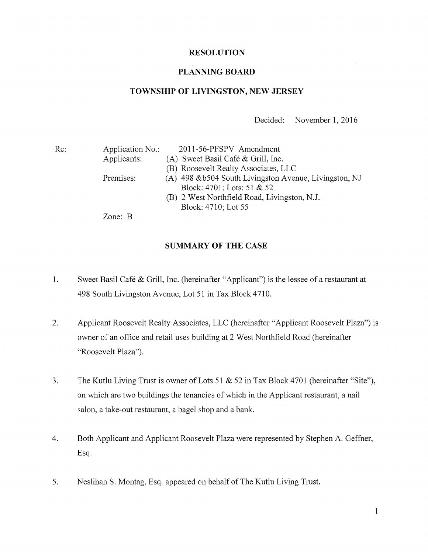## RESOLUTION

### PLANNING BOARD

### TOWNSHIP OF LIVINGSTON, NEW JERSEY

Decided: November 1, 2016

| Re: | Application No.: | 2011-56-PFSPV Amendment                                |
|-----|------------------|--------------------------------------------------------|
|     | Applicants:      | (A) Sweet Basil Café $\&$ Grill, Inc.                  |
|     |                  | (B) Roosevelt Realty Associates, LLC                   |
|     | Premises:        | (A) 498 & b504 South Livingston Avenue, Livingston, NJ |
|     |                  | Block: 4701; Lots: 51 & 52                             |
|     |                  | (B) 2 West Northfield Road, Livingston, N.J.           |
|     |                  | Block: 4710; Lot 55                                    |
|     |                  |                                                        |

Zone: B

#### SUMMARY OF THE CASE

- 1. Sweet Basil Café & Grill, Inc. (hereinafter "Applicant") is the lessee of <sup>a</sup> restaurant at 498 South Livingston Avenue, Lot 51 in Tax Block 4710.
- 2. Applicant Roosevelt Realty Associates, LLC (hereinafter "Applicant Roosevelt Plaza") is owner of an office and retail uses building at 2 West Northfield Road (hereinafter "Roosevelt Plaza").
- 3. The Kutlu Living Trust is owner of Lots <sup>51</sup> & 52 in Tax Block 4701 (hereinafter "Site"), on which are two buildings the tenancies of which in the Applicant restaurant, a nail salon, a take-out restaurant, a bagel shop and a bank.
- 4. Both Applicant and Applicant Roosevelt Plaza were represented by Stephen A. Geffner, Esq.  $\bar{\beta}$
- 5. Neslihan S. Montag, Esq. appeared on behalf of The Kutlu Living Trust.

1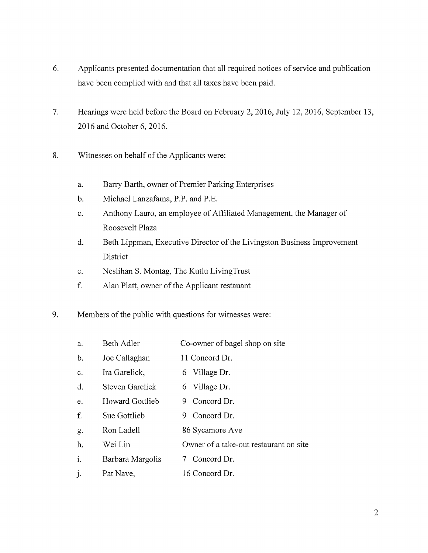- 6. Applicants presented documentation that all required notices of service and publication have been complied with and that all taxes have been paid.
- 7. Hearings were held before the Board on February 2, 2016, July 12, 2016, September 13, 2016 and October 6, 2016.
- 8. Witnesses on behalf of the Applicants were:
	- a. Barry Barth, owner of Premier Parking Enterprises
	- b. Michael Lanzafama, P.P. and P.E.
	- c. Anthony Lauro, an employee of Affiliated Management, the Manager of Roosevelt Plaza
	- d. Beth Lippman, Executive Director of the Livingston Business Improvement District
	- e. Neslihan S. Montag, The Kutlu LivingTrust
	- f. Alan Platt, owner of the Applicant restauant
- 9. Members of the public with questions for witnesses were:

| a.             | Beth Adler             | Co-owner of bagel shop on site         |
|----------------|------------------------|----------------------------------------|
| $\mathbf{b}$ . | Joe Callaghan          | 11 Concord Dr.                         |
| $C_{\bullet}$  | Ira Garelick,          | 6 Village Dr.                          |
| d.             | Steven Garelick        | 6 Village Dr.                          |
| e.             | <b>Howard Gottlieb</b> | 9 Concord Dr.                          |
| f.             | Sue Gottlieb           | Concord Dr.<br>9.                      |
| g.             | Ron Ladell             | 86 Sycamore Ave                        |
| h.             | Wei Lin                | Owner of a take-out restaurant on site |
| $\mathbf{i}$ . | Barbara Margolis       | 7 Concord Dr.                          |
| j.             | Pat Nave,              | 16 Concord Dr.                         |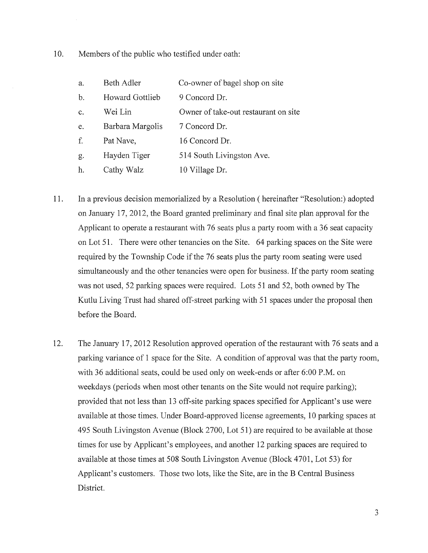10. Members of the public who testified under oath:

| a. | Beth Adler       | Co-owner of bagel shop on site       |
|----|------------------|--------------------------------------|
| b. | Howard Gottlieb  | 9 Concord Dr.                        |
| c. | Wei Lin          | Owner of take-out restaurant on site |
| e. | Barbara Margolis | 7 Concord Dr.                        |
| f. | Pat Nave,        | 16 Concord Dr.                       |
| g. | Hayden Tiger     | 514 South Livingston Ave.            |
| h. | Cathy Walz       | 10 Village Dr.                       |

- 11. In a previous decision memorialized by a Resolution (hereinafter "Resolution:) adopted on January 17, 2012, the Board granted preliminary and final site plan approval for the Applicant to operate a restaurant with 76 seats plus <sup>a</sup> party room with a 36 seat capacity on Lot 51. There were other tenancies on the Site. 64 parking spaces on the Site were required by the Township Code if the 76 seats plus the party room seating were used simultaneously and the other tenancies were open for business. If the party room seating was not used, 52 parking spaces were required. Lots 51 and 52, both owned by The Kutlu Living Trust had shared off-street parking with 51 spaces under the proposal then before the Board.
- 12. The January 17, 2012 Resolution approved operation of the restaurant with 76 seats and <sup>a</sup> parking variance of <sup>1</sup> space for the Site. A condition of approval was that the party room, with 36 additional seats, could be used only on week-ends or after 6:00 P.M. on weekdays (periods when most other tenants on the Site would not require parking); provided that not less than 13 off-site parking spaces specified for Applicant's use were available at those times. Under Board-approved license agreements, 10 parking spaces at 495 South Livingston Avenue (Block 2700, Lot 51) are required to be available at those times for use by Applicant's employees, and another 12 parking spaces are required to available at those times at 508 South Livingston Avenue (Block 4701, Lot 53) for Applicant's customers. Those two lots, like the Site, are in the B Central Business District.

3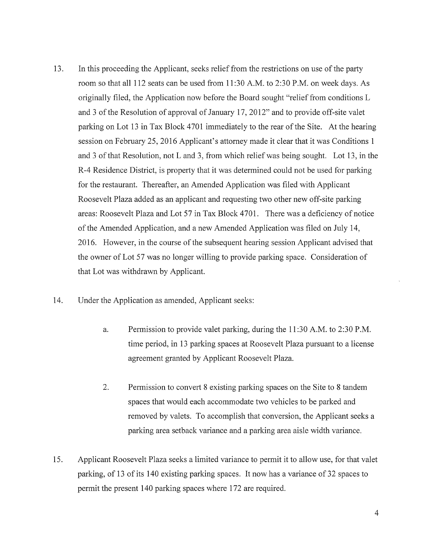- 13. In this proceeding the Applicant, seeks relief from the restrictions on use of the party room so that all 112 seats can be used from 11:30 A.M. to 2:30 P.M. on week days. As originally filed, the Application now before the Board sought "relief from conditions L and <sup>3</sup> of the Resolution of approval of January 17, 2012" and to provide off-site valet parking on Lot <sup>13</sup> in Tax Block 4701 immediately to the rear of the Site. At the hearing session on February 25, 2016 Applicant's attorney made it clear that it was Conditions <sup>1</sup> and <sup>3</sup> of that Resolution, not L and 3, from which relief was being sought. Lot 13, in the R-4 Residence District, is property that it was determined could not be used for parking for the restaurant. Thereafter, an Amended Application was filed with Applicant Roosevelt Plaza added as an applicant and requesting two other new off-site parking areas: Roosevelt Plaza and Lot 57 in Tax Block 4701. There was <sup>a</sup> deficiency of notice of the Amended Application, and a new Amended Application was filed on July 14, 2016. However, in the course of the subsequent hearing session Applicant advised that the owner of Lot 57 was no longer willing to provide parking space. Consideration of that Lot was withdrawn by Applicant.
- 14. Under the Application as amended, Applicant seeks:
	- a. Permission to provide valet parking, during the 11:30 A.M. to 2:30 P.M. time period, in 13 parking spaces at Roosevelt Plaza pursuant to a license agreement granted by Applicant Roosevelt Plaza.
	- 2. Permission to convert 8 existing parking spaces on the Site to 8 tandem spaces that would each accommodate two vehicles to be parked and removed by valets. To accomplish that conversion, the Applicant seeks a parking area setback variance and a parking area aisle width variance.
- 15. Applicant Roosevelt Plaza seeks a limited variance to permit it to allow use, for that valet parking, of <sup>13</sup> of its 140 existing parking spaces. It now has <sup>a</sup> variance of 32 spaces to permit the present 140 parking spaces where 172 are required.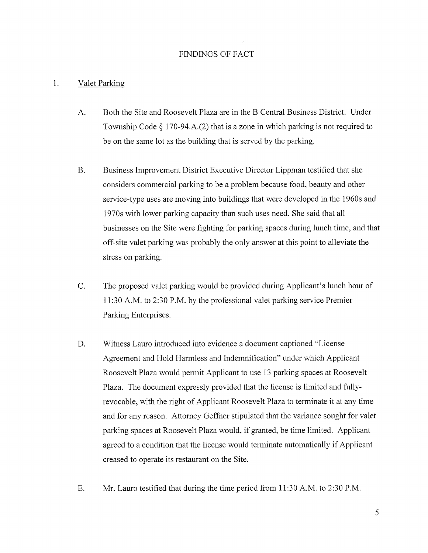### FINDINGS OF FACT

#### 1. Valet Parking

- A. Both the Site and Roosevelt Plaza are in the B Central Business District. Under Township Code  $\S 170-94.A.(2)$  that is a zone in which parking is not required to be on the same lot as the building that is served by the parking.
- B. Business Improvement District Executive Director Lippman testified that she considers commercial parking to be a problem because food, beauty and other service-type uses are moving into buildings that were developed in the <sup>1</sup> 960s and <sup>1</sup> 970s with lower parking capacity than such uses need. She said that all businesses on the Site were fighting for parking spaces during lunch time, and that off-site valet parking was probably the only answer at this point to alleviate the stress on parking.
- C. The proposed valet parking would be provided during Applicant's lunch hour of 11:30 A.M. to 2:30 P.M. by the professional valet parking service Premier Parking Enterprises.
- D. Witness Lauro introduced into evidence a document captioned "License Agreement and Hold Harmless and Indemnification" under which Applicant Roosevelt Plaza would permit Applicant to use 13 parking spaces at Roosevelt Plaza. The document expressly provided that the license is limited and fullyrevocable, with the right of Applicant Roosevelt Plaza to terminate it at any time and for any reason. Attorney Geffner stipulated that the variance sought for valet parking spaces at Roosevelt Plaza would, if granted, be time limited. Applicant agreed to a condition that the license would terminate automatically if Applicant creased to operate its restaurant on the Site.
- E. Mr. Lauro testified that during the time period from 11:30 A.M. to 2:30 P.M.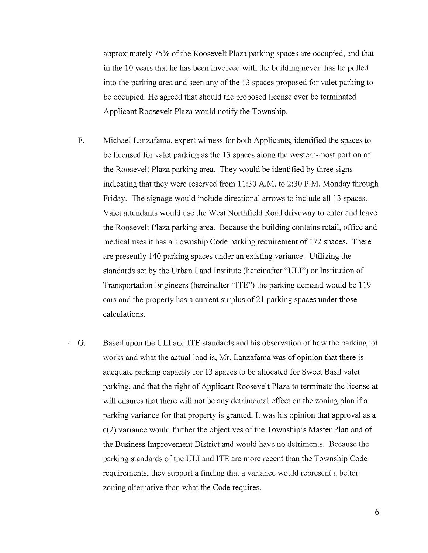approximately 75% of the Roosevelt Plaza parking spaces are occupied, and that in the 10 years that he has been involved with the building never has he pulled into the parking area and seen any of the <sup>13</sup> spaces proposed for valet parking to be occupied. He agreed that should the proposed license ever be terminated Applicant Roosevelt Plaza would notify the Township.

- F. Michael Lanzafama, expert witness for both Applicants, identified the spaces to be licensed for valet parking as the <sup>13</sup> spaces along the western-most portion of the Roosevelt Plaza parking area. They would be identified by three signs indicating that they were reserved from 11:30 A.M. to 2:30 P.M. Monday through Friday. The signage would include directional arrows to include all 13 spaces. Valet attendants would use the West Northfield Road driveway to enter and leave the Roosevelt Plaza parking area. Because the building contains retail, office and medical uses it has a Township Code parking requirement of 172 spaces. There are presently 140 parking spaces under an existing variance. Utilizing the standards set by the Urban Land Institute (hereinafter "ULI") or Institution of Transportation Engineers (hereinafter "ITE") the parking demand would be 119 cars and the property has <sup>a</sup> current surplus of <sup>21</sup> parking spaces under those calculations.
- G. Based upon the ULI and ITE standards and his observation of how the parking lot  $\mathcal{L}_{\mathcal{A}}$ works and what the actual load is, Mr. Lanzafama was of opinion that there is adequate parking capacity for 13 spaces to be allocated for Sweet Basil valet parking, and that the right of Applicant Roosevelt Plaza to terminate the license at will ensures that there will not be any detrimental effect on the zoning plan if <sup>a</sup> parking variance for that property is granted. It was his opinion that approval as a c(2) variance would further the objectives of the Township's Master Plan and of the Business Improvement District and would have no detriments. Because the parking standards of the ULI and ITE are more recent than the Township Code requirements, they support a finding that a variance would represent a better zoning alternative than what the Code requires.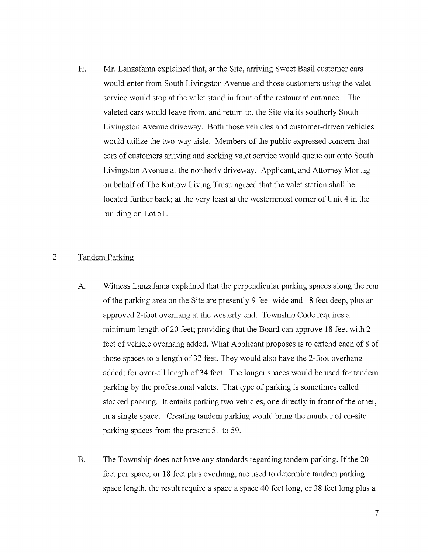H. Mr. Lanzafama explained that, at the Site, arriving Sweet Basil customer cars would enter from South Livingston Avenue and those customers using the valet service would stop at the valet stand in front of the restaurant entrance. The valeted cars would leave from, and return to, the Site via its southerly South Livingston Avenue driveway. Both those vehicles and customer-driven vehicles would utilize the two-way aisle. Members of the public expressed concern that cars of customers arriving and seeking valet service would queue out onto South Livingston Avenue at the northerly driveway. Applicant, and Attorney Montag on behalf of The Kutlow Living Trust, agreed that the valet station shall be located further back; at the very least at the westernmost corner of Unit 4 in the building on Lot 51.

## 2. Tandem Parking

- A. Witness Lanzafama explained that the perpendicular parking spaces along the rear of the parking area on the Site are presently <sup>9</sup> feet wide and <sup>18</sup> feet deep, plus an approved 2-foot overhang at the westerly end. Township Code requires a minimum length of 20 feet; providing that the Board can approve <sup>18</sup> feet with 2 feet of vehicle overhang added. What Applicant proposes is to extend each of <sup>8</sup> of those spaces to a length of 32 feet. They would also have the 2-foot overhang added; for over-all length of 34 feet. The longer spaces would be used for tandem parking by the professional valets. That type of parking is sometimes called stacked parking. It entails parking two vehicles, one directly in front of the other, in <sup>a</sup> single space. Creating tandem parking would bring the number of on-site parking spaces from the present 51 to 59.
- B. The Township does not have any standards regarding tandem parking. If the 20 feet per space, or 18 feet plus overhang, are used to determine tandem parking space length, the result require a space a space 40 feet long, or 38 feet long plus a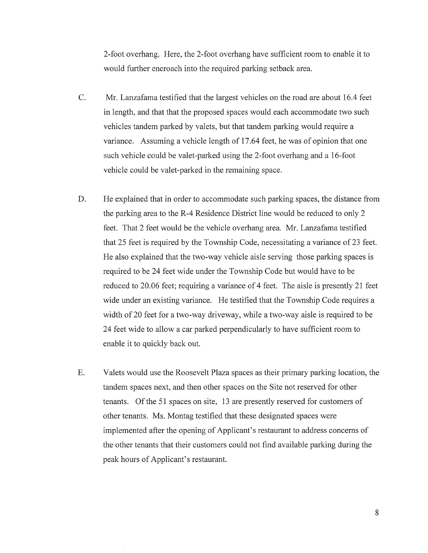2-foot overhang. Here, the 2-foot overhang have sufficient room to enable it to would further encroach into the required parking setback area.

- C. Mr. Lanzafama testified that the largest vehicles on the road are about 16.4 feet in length, and that that the proposed spaces would each accommodate two such vehicles tandem parked by valets, but that tandem parking would require a variance. Assuming a vehicle length of 17.64 feet, he was of opinion that one such vehicle could be valet-parked using the 2-foot overhang and a 16-foot vehicle could be valet-parked in the remaining space.
- D. He explained that in order to accommodate such parking spaces, the distance from the parking area to the R-4 Residence District line would be reduced to only 2 feet. That 2 feet would be the vehicle overhang area. Mr. Lanzafama testified that 25 feet is required by the Township Code, necessitating a variance of 23 feet. He also explained that the two-way vehicle aisle serving those parking spaces is required to be 24 feet wide under the Township Code but would have to be reduced to 20.06 feet; requiring <sup>a</sup> variance of 4 feet. The aisle is presently 21 feet wide under an existing variance. He testified that the Township Code requires a width of 20 feet for <sup>a</sup> two-way driveway, while <sup>a</sup> two-way aisle is required to be 24 feet wide to allow a car parked perpendicularly to have sufficient room to enable it to quickly back out.
- E. Valets would use the Roosevelt Plaza spaces as their primary parking location, the tandem spaces next, and then other spaces on the Site not reserved for other tenants. Of the 51 spaces on site, <sup>13</sup> are presently reserved for customers of other tenants. Ms. Montag testified that these designated spaces were implemented afier the opening of Applicant's restaurant to address concerns of the other tenants that their customers could not find available parking during the peak hours of Applicant's restaurant.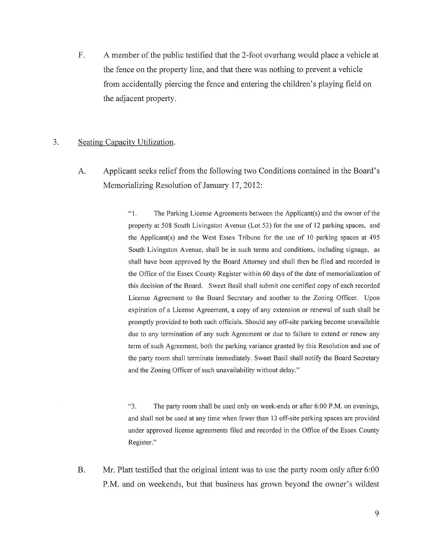F. A member of the public testified that the 2-foot overhang would place a vehicle at the fence on the property line, and that there was nothing to prevent a vehicle from accidentally piercing the fence and entering the children's playing field on the adjacent property.

# 3. Seating Capacity Utilization.

A. Applicant seeks relief from the following two Conditions contained in the Board's Memorializing Resolution of January 17, 2012:

> "1. The Parking License Agreements between the Applicant(s) and the owner ofthe property at 508 South Livingston Avenue (Lot 53) for the use of <sup>12</sup> parking spaces, and the Applicant(s) and the West Essex Tribune for the use of <sup>10</sup> parking spaces at 495 South Livingston Avenue, shall be in such terms and conditions, including signage, as shall have been approved by the Board Attorney and shall then be filed and recorded in the Office of the Essex County Register within 60 days of the date of memorialization of this decision ofthe Board. Sweet Basil shall submit one certified copy of each recorded License Agreement to the Board Secretary and another to the Zoning Officer. Upon expiration of <sup>a</sup> License Agreement, <sup>a</sup> copy of any extension or renewal of such shall be promptly provided to both such officials. Should any off-site parking become unavailable due to any termination of any such Agreement or due to failure to extend or renew any term of such Agreement, both the parking variance granted by this Resolution and use of the party room shall terminate immediately. Sweet Basil shall notify the Board Secretary and the Zoning Officer of such unavailability without delay."

> "3. The party room shall be used only on week-ends or after 6:00 P.M. on evenings, and shall not be used at any time when fewer than 13 off-site parking spaces are provided under approved license agreements filed and recorded in the Office of the Essex County Register."

B. Mr. Platt testified that the original intent was to use the party room only after 6:00 P.M. and on weekends, but that business has grown beyond the owner's wildest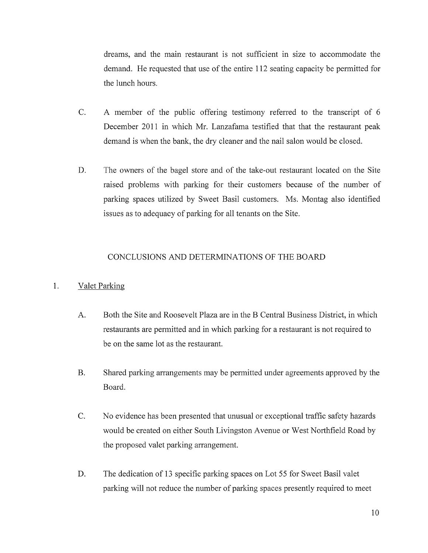dreams, and the main restaurant is not sufficient in size to accommodate the demand. He requested that use of the entire 112 seating capacity be permitted for the lunch hours.

- C. A member of the public offering testimony referred to the transcript of <sup>6</sup> December 2011 in which Mr. Lanzafama testified that that the restaurant peak demand is when the bank, the dry cleaner and the nail salon would be closed.
- D. The owners of the bagel store and of the take-out restaurant located on the Site raised problems with parking for their customers because of the number of parking spaces utilized by Sweet Basil customers. Ms. Montag also identified issues as to adequacy of parking for all tenants on the Site.

## CONCLUSIONS AND DETERMINATIONS OF THE BOARD

#### $1.$ Valet Parking

- A. Both the Site and Roosevelt Plaza are in the B Central Business District, in which restaurants are permitted and in which parking for a restaurant is not required to be on the same lot as the restaurant.
- B. Shared parking arrangements may be permitted under agreements approved by the Board.
- C. No evidence has been presented that unusual or exceptional traffic safety hazards would be created on either South Livingston Avenue or West Northfield Road by the proposed valet parking arrangement.
- D. The dedication of <sup>13</sup> specific parking spaces on Lot 55 for Sweet Basil valet parking will not reduce the number of parking spaces presently required to meet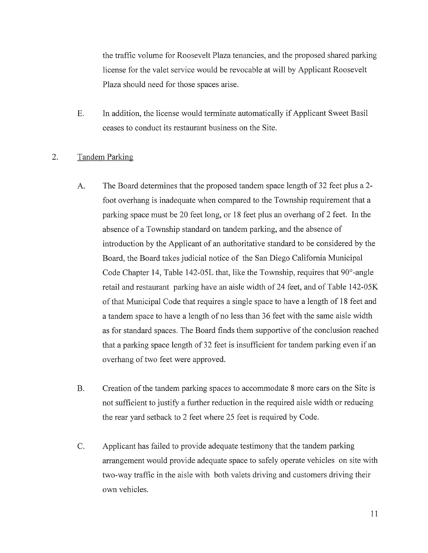the traffic volume for Roosevelt Plaza tenancies, and the proposed shared parking license for the valet service would be revocable at will by Applicant Roosevelt Plaza should need for those spaces arise.

E. In addition, the license would terminate automatically if Applicant Sweet Basil ceases to conduct its restaurant business on the Site.

# 2. Tandem Parking

- A. The Board determines that the proposed tandem space length of 32 feet plus a 2 foot overhang is inadequate when compared to the Township requirement that a parking space must be 20 feet long, or <sup>18</sup> feet plus an overhang of 2 feet. In the absence of <sup>a</sup> Township standard on tandem parking, and the absence of introduction by the Applicant of an authoritative standard to be considered by the Board, the Board takes judicial notice of the San Diego California Municipal Code Chapter 14, Table 142-05L that, like the Township, requires that 90°-angle retail and restaurant parking have an aisle width of 24 feet, and of Table 142-05K of that Municipal Code that requires <sup>a</sup> single space to have <sup>a</sup> length of <sup>18</sup> feet and a tandem space to have a length of no less than 36 feet with the same aisle width as for standard spaces. The Board finds them supportive of the conclusion reached that <sup>a</sup> parking space length of <sup>32</sup> feet is insufficient for tandem parking even if an overhang of two feet were approved.
- B. Creation of the tandem parking spaces to accommodate <sup>8</sup> more cars on the Site is not sufficient to justify a further reduction in the required aisle width or reducing the rear yard setback to 2 feet where 25 feet is required by Code.
- C. Applicant has failed to provide adequate testimony that the tandem parking arrangement would provide adequate space to safely operate vehicles on site with two-way traffic in the aisle with both valets driving and customers driving their own vehicles.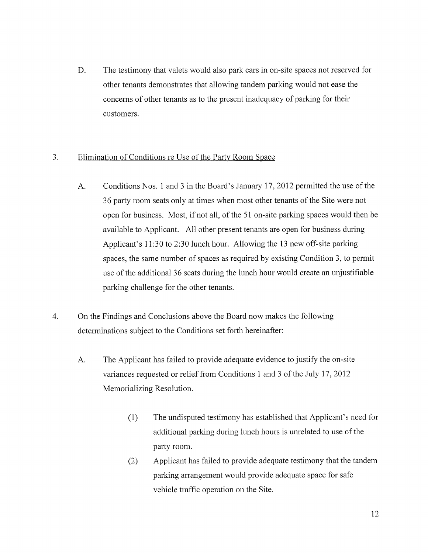D. The testimony that valets would also park cars in on-site spaces not reserved for other tenants demonstrates that allowing tandem parking would not ease the concerns of other tenants as to the present inadequacy of parking for their customers.

# 3. Elimination of Conditions re Use of the Party Room Space

- A. Conditions Nos. <sup>1</sup> and <sup>3</sup> in the Board's January 17, 2012 permitted the use of the 36 party room seats only at times when most other tenants of the Site were not open for business. Most, if not all, of the <sup>51</sup> on-site parking spaces would then be available to Applicant. All other present tenants are open for business during Applicant's 11:30 to 2:30 lunch hour. Allowing the <sup>13</sup> new off-site parking spaces, the same number of spaces as required by existing Condition 3, to permit use of the additional 36 seats during the lunch hour would create an unjustifiable parking challenge for the other tenants.
- 4. On the Findings and Conclusions above the Board now makes the following determinations subject to the Conditions set forth hereinafter:
	- A. The Applicant has failed to provide adequate evidence to justify the on-site variances requested or relief from Conditions <sup>1</sup> and <sup>3</sup> of the July 17, 2012 Memorializing Resolution.
		- (1) The undisputed testimony has established that Applicant's need for additional parking during lunch hours is unrelated to use of the party room.
		- (2) Applicant has failed to provide adequate testimony that the tandem parking arrangement would provide adequate space for safe vehicle traffic operation on the Site.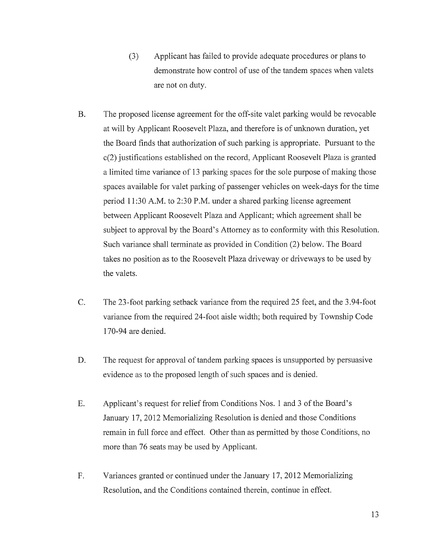- (3) Applicant has failed to provide adequate procedures or plans to demonstrate how control of use of the tandem spaces when valets are not on duty.
- B. The proposed license agreement for the off-site valet parking would be revocable at will by Applicant Roosevelt Plaza, and therefore is of unknown duration, yet the Board finds that authorization of such parking is appropriate. Pursuant to the c(2) justifications established on the record, Applicant Roosevelt Plaza is granted a limited time variance of <sup>13</sup> parking spaces for the sole purpose of making those spaces available for valet parking of passenger vehicles on week-days for the time period 11:30 A.M. to 2:30 P.M. under a shared parking license agreement between Applicant Roosevelt Plaza and Applicant; which agreement shall be subject to approval by the Board's Attorney as to conformity with this Resolution. Such variance shall terminate as provided in Condition (2) below. The Board takes no position as to the Roosevelt Plaza driveway or driveways to be used by the valets.
- C. The 23-foot parking setback variance from the required 25 feet, and the 3.94-foot variance from the required 24-foot aisle width; both required by Township Code 170-94 are denied.
- D. The request for approval of tandem parking spaces is unsupported by persuasive evidence as to the proposed length of such spaces and is denied.
- E. Applicant's request for relief from Conditions Nos. <sup>1</sup> and <sup>3</sup> of the Board's January 17, 2012 Memorializing Resolution is denied and those Conditions remain in full force and effect. Other than as permitted by those Conditions, no more than 76 seats may be used by Applicant.
- F. Variances granted or continued under the January 17, 2012 Memorializing Resolution, and the Conditions contained therein, continue in effect.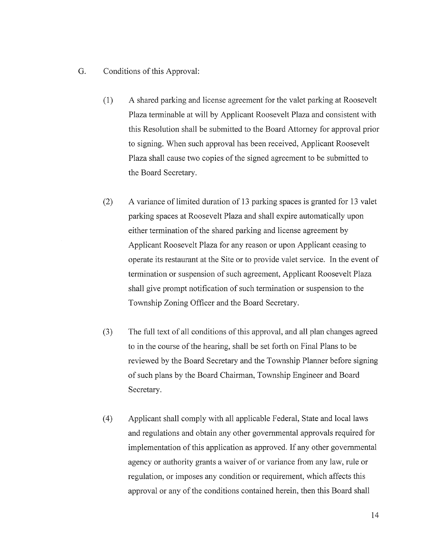- G. Conditions of this Approval:
	- (1) A shared parking and license agreement for the valet parking at Roosevelt Plaza terminable at will by Applicant Roosevelt Plaza and consistent with this Resolution shall be submitted to the Board Attorney for approval prior to signing. When such approval has been received, Applicant Roosevelt Plaza shall cause two copies of the signed agreement to be submitted to the Board Secretary.
	- (2) A variance of limited duration of <sup>13</sup> parking spaces is granted for <sup>13</sup> valet parking spaces at Roosevelt Plaza and shall expire automatically upon either termination of the shared parking and license agreement by Applicant Roosevelt Plaza for any reason or upon Applicant ceasing to operate its restaurant at the Site or to provide valet service. In the event of termination or suspension of such agreement, Applicant Roosevelt Plaza shall give prompt notification of such termination or suspension to the Township Zoning Officer and the Board Secretary.
	- (3) The full text of all conditions of this approval, and all plan changes agreed to in the course of the hearing, shall be set forth on Final Plans to be reviewed by the Board Secretary and the Township Planner before signing of such plans by the Board Chairman, Township Engineer and Board Secretary.
	- (4) Applicant shall comply with all applicable Federal, State and local laws and regulations and obtain any other governmental approvals required for implementation of this application as approved. If any other governmental agency or authority grants <sup>a</sup> waiver of or variance from any law, rule or regulation, or imposes any condition or requirement, which affects this approval or any of the conditions contained herein, then this Board shall